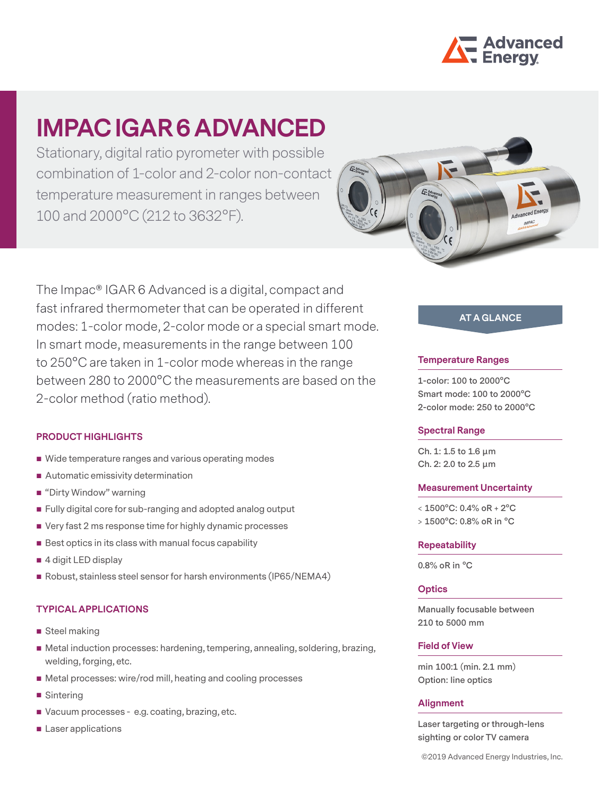

Stationary, digital ratio pyrometer with possible combination of 1-color and 2-color non-contact temperature measurement in ranges between 100 and 2000°C (212 to 3632°F).



The Impac® IGAR 6 Advanced is a digital, compact and fast infrared thermometer that can be operated in different modes: 1-color mode, 2-color mode or a special smart mode. In smart mode, measurements in the range between 100 to 250°C are taken in 1-color mode whereas in the range between 280 to 2000°C the measurements are based on the 2-color method (ratio method).

#### **PRODUCT HIGHLIGHTS**

- Wide temperature ranges and various operating modes
- Automatic emissivity determination
- "Dirty Window" warning
- Fully digital core for sub-ranging and adopted analog output
- Very fast 2 ms response time for highly dynamic processes
- $\blacksquare$  Best optics in its class with manual focus capability
- 4 digit LED display
- Robust, stainless steel sensor for harsh environments (IP65/NEMA4)

## **TYPICAL APPLICATIONS**

- Steel making
- Metal induction processes: hardening, tempering, annealing, soldering, brazing, welding, forging, etc.
- Metal processes: wire/rod mill, heating and cooling processes
- Sintering
- Vacuum processes e.g. coating, brazing, etc.
- **Laser applications**

## **AT A GLANCE**

#### **Temperature Ranges**

**1-color: 100 to 2000°C Smart mode: 100 to 2000°C 2-color mode: 250 to 2000°C**

#### **Spectral Range**

**Ch. 1: 1.5 to 1.6 μm Ch. 2: 2.0 to 2.5 μm**

#### **Measurement Uncertainty**

**< 1500°C: 0.4% oR + 2°C > 1500°C: 0.8% oR in °C**

#### **Repeatability**

**0.8% oR in °C**

#### **Optics**

**Manually focusable between 210 to 5000 mm**

#### **Field of View**

**min 100:1 (min. 2.1 mm) Option: line optics**

#### **Alignment**

**Laser targeting or through-lens sighting or color TV camera**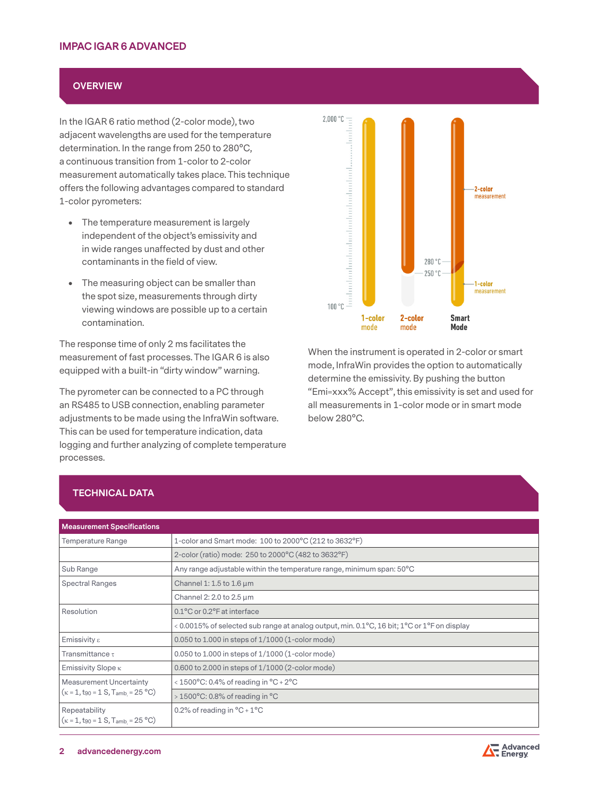## **OVERVIEW**

In the IGAR 6 ratio method (2-color mode), two adjacent wavelengths are used for the temperature determination. In the range from 250 to 280°C, a continuous transition from 1-color to 2-color measurement automatically takes place. This technique offers the following advantages compared to standard 1-color pyrometers:

- The temperature measurement is largely independent of the object's emissivity and in wide ranges unaffected by dust and other contaminants in the field of view.
- The measuring object can be smaller than the spot size, measurements through dirty viewing windows are possible up to a certain contamination.

The response time of only 2 ms facilitates the measurement of fast processes. The IGAR 6 is also equipped with a built-in "dirty window" warning.

The pyrometer can be connected to a PC through an RS485 to USB connection, enabling parameter adjustments to be made using the InfraWin software. This can be used for temperature indication, data logging and further analyzing of complete temperature processes.



When the instrument is operated in 2-color or smart mode, InfraWin provides the option to automatically determine the emissivity. By pushing the button "Emi=xxx% Accept", this emissivity is set and used for all measurements in 1-color mode or in smart mode below 280°C.

| TECHNICAL DATA |
|----------------|
|                |
|                |
|                |

| <b>Measurement Specifications</b>                                               |                                                                                             |  |
|---------------------------------------------------------------------------------|---------------------------------------------------------------------------------------------|--|
| Temperature Range                                                               | 1-color and Smart mode: 100 to 2000°C (212 to 3632°F)                                       |  |
|                                                                                 | 2-color (ratio) mode: 250 to 2000°C (482 to 3632°F)                                         |  |
| Sub Range                                                                       | Any range adjustable within the temperature range, minimum span: 50°C                       |  |
| <b>Spectral Ranges</b>                                                          | Channel 1: 1.5 to 1.6 $\mu$ m                                                               |  |
|                                                                                 | Channel 2: 2.0 to 2.5 µm                                                                    |  |
| Resolution                                                                      | 0.1°C or 0.2°F at interface                                                                 |  |
|                                                                                 | < 0.0015% of selected sub range at analog output, min. 0.1°C, 16 bit; 1°C or 1°F on display |  |
| Emissivity $\varepsilon$                                                        | 0.050 to 1.000 in steps of $1/1000$ (1-color mode)                                          |  |
| Transmittance $\tau$                                                            | $0.050$ to 1.000 in steps of $1/1000$ (1-color mode)                                        |  |
| Emissivity Slope $\kappa$                                                       | 0.600 to 2.000 in steps of 1/1000 (2-color mode)                                            |  |
| <b>Measurement Uncertainty</b><br>$(\kappa = 1, t_{90} = 1 S, T_{amb} = 25 °C)$ | < $1500^{\circ}$ C: 0.4% of reading in $^{\circ}$ C + 2 $^{\circ}$ C                        |  |
|                                                                                 | > $1500^{\circ}$ C: 0.8% of reading in $^{\circ}$ C                                         |  |
| Repeatability<br>$(\kappa = 1, t_{90} = 1 S, T_{amb} = 25 °C)$                  | 0.2% of reading in $^{\circ}$ C + 1 $^{\circ}$ C                                            |  |

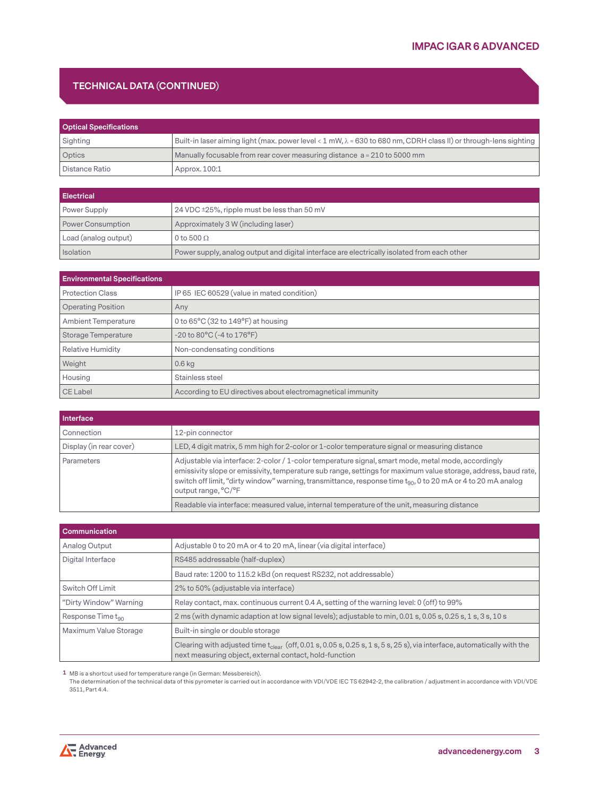## **TECHNICAL DATA (CONTINUED)**

| <b>Optical Specifications</b> |                                                                                                                          |  |
|-------------------------------|--------------------------------------------------------------------------------------------------------------------------|--|
| Sighting                      | Built-in laser aiming light (max. power level < 1 mW, $\lambda$ = 630 to 680 nm, CDRH class II) or through-lens sighting |  |
| Optics                        | Manually focusable from rear cover measuring distance a = 210 to 5000 mm                                                 |  |
| Distance Ratio                | Approx. 100:1                                                                                                            |  |

| <b>Electrical</b>    |                                                                                             |
|----------------------|---------------------------------------------------------------------------------------------|
| Power Supply         | 24 VDC ±25%, ripple must be less than 50 mV                                                 |
| Power Consumption    | Approximately 3 W (including laser)                                                         |
| Load (analog output) | 0 to 500 $\Omega$                                                                           |
| <b>Isolation</b>     | Power supply, analog output and digital interface are electrically isolated from each other |

| <b>Environmental Specifications</b> |                                                             |
|-------------------------------------|-------------------------------------------------------------|
| <b>Protection Class</b>             | IP 65 IEC 60529 (value in mated condition)                  |
| <b>Operating Position</b>           | Any                                                         |
| <b>Ambient Temperature</b>          | 0 to $65^{\circ}$ C (32 to 149 $^{\circ}$ F) at housing     |
| Storage Temperature                 | $-20$ to $80^{\circ}$ C ( $-4$ to $176^{\circ}$ F)          |
| <b>Relative Humidity</b>            | Non-condensating conditions                                 |
| Weight                              | $0.6$ kg                                                    |
| Housing                             | Stainless steel                                             |
| CE Label                            | According to EU directives about electromagnetical immunity |

| Interface               |                                                                                                                                                                                                                                                                                                                                                                          |
|-------------------------|--------------------------------------------------------------------------------------------------------------------------------------------------------------------------------------------------------------------------------------------------------------------------------------------------------------------------------------------------------------------------|
| Connection              | 12-pin connector                                                                                                                                                                                                                                                                                                                                                         |
| Display (in rear cover) | LED, 4 digit matrix, 5 mm high for 2-color or 1-color temperature signal or measuring distance                                                                                                                                                                                                                                                                           |
| Parameters              | Adjustable via interface: 2-color / 1-color temperature signal, smart mode, metal mode, accordingly<br>emissivity slope or emissivity, temperature sub range, settings for maximum value storage, address, baud rate,<br>switch off limit, "dirty window" warning, transmittance, response time t <sub>90</sub> , 0 to 20 mA or 4 to 20 mA analog<br>output range, °C/°F |
|                         | Readable via interface: measured value, internal temperature of the unit, measuring distance                                                                                                                                                                                                                                                                             |

| <b>Communication</b>          |                                                                                                                                                                                        |  |
|-------------------------------|----------------------------------------------------------------------------------------------------------------------------------------------------------------------------------------|--|
| Analog Output                 | Adjustable 0 to 20 mA or 4 to 20 mA, linear (via digital interface)                                                                                                                    |  |
| Digital Interface             | RS485 addressable (half-duplex)                                                                                                                                                        |  |
|                               | Baud rate: 1200 to 115.2 kBd (on request RS232, not addressable)                                                                                                                       |  |
| Switch Off Limit              | 2% to 50% (adjustable via interface)                                                                                                                                                   |  |
| "Dirty Window" Warning        | Relay contact, max. continuous current 0.4 A, setting of the warning level: 0 (off) to 99%                                                                                             |  |
| Response Time t <sub>90</sub> | 2 ms (with dynamic adaption at low signal levels); adjustable to min, 0.01 s, 0.05 s, 0.25 s, 1 s, 3 s, 10 s                                                                           |  |
| Maximum Value Storage         | Built-in single or double storage                                                                                                                                                      |  |
|                               | Clearing with adjusted time $t_{clear}$ (off, 0.01 s, 0.05 s, 0.25 s, 1 s, 5 s, 25 s), via interface, automatically with the<br>next measuring object, external contact, hold-function |  |

**1** MB is a shortcut used for temperature range (in German: Messbereich).

The determination of the technical data of this pyrometer is carried out in accordance with VDI/VDE IEC TS 62942-2, the calibration / adjustment in accordance with VDI/VDE 3511, Part 4.4.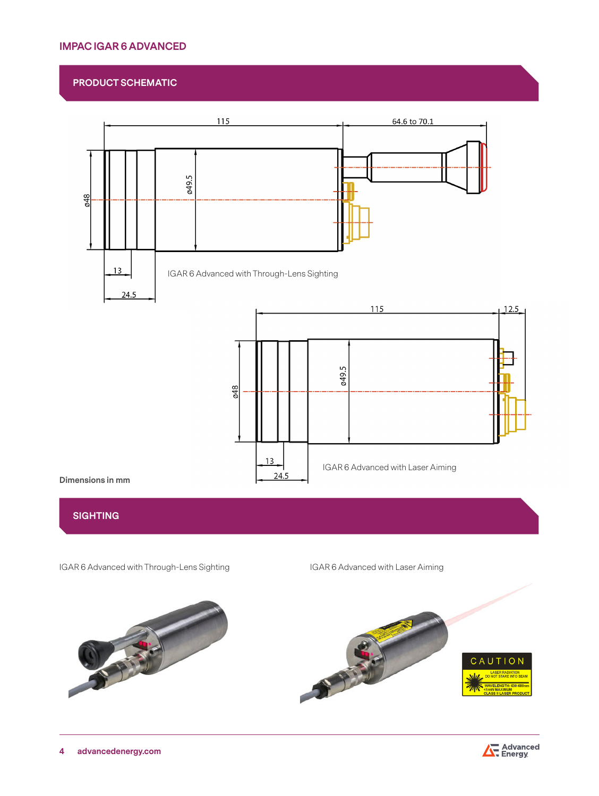#### **PRODUCT SCHEMATIC**



## **SIGHTING**

IGAR 6 Advanced with Through-Lens Sighting IGAR 6 Advanced with Laser Aiming



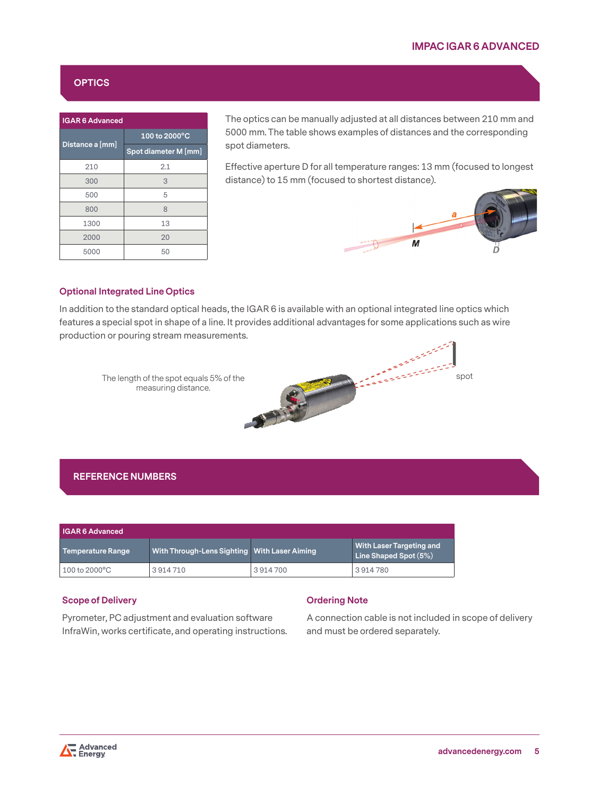## **OPTICS**

| <b>IGAR 6 Advanced</b> |                      |  |
|------------------------|----------------------|--|
|                        | 100 to 2000°C        |  |
| Distance a [mm]        | Spot diameter M [mm] |  |
| 210                    | 2.1                  |  |
| 300                    | 3                    |  |
| 500                    | 5                    |  |
| 800                    | 8                    |  |
| 1300                   | 13                   |  |
| 2000                   | 20                   |  |
| 5000                   | 50                   |  |

The optics can be manually adjusted at all distances between 210 mm and 5000 mm. The table shows examples of distances and the corresponding spot diameters.

Effective aperture D for all temperature ranges: 13 mm (focused to longest distance) to 15 mm (focused to shortest distance).

> er andere gehalten.<br>Geboortes



spot

#### **Optional Integrated Line Optics**

In addition to the standard optical heads, the IGAR 6 is available with an optional integrated line optics which features a special spot in shape of a line. It provides additional advantages for some applications such as wire production or pouring stream measurements.

The length of the spot equals 5% of the measuring distance.

## **REFERENCE NUMBERS**

| IGAR 6 Advanced   |                                              |         |                                                          |
|-------------------|----------------------------------------------|---------|----------------------------------------------------------|
| Temperature Range | With Through-Lens Sighting With Laser Aiming |         | <b>With Laser Targeting and</b><br>Line Shaped Spot (5%) |
| 100 to 2000°C     | 3914710                                      | 3914700 | 3914780                                                  |

#### **Scope of Delivery**

Pyrometer, PC adjustment and evaluation software InfraWin, works certificate, and operating instructions.

#### **Ordering Note**

A connection cable is not included in scope of delivery and must be ordered separately.

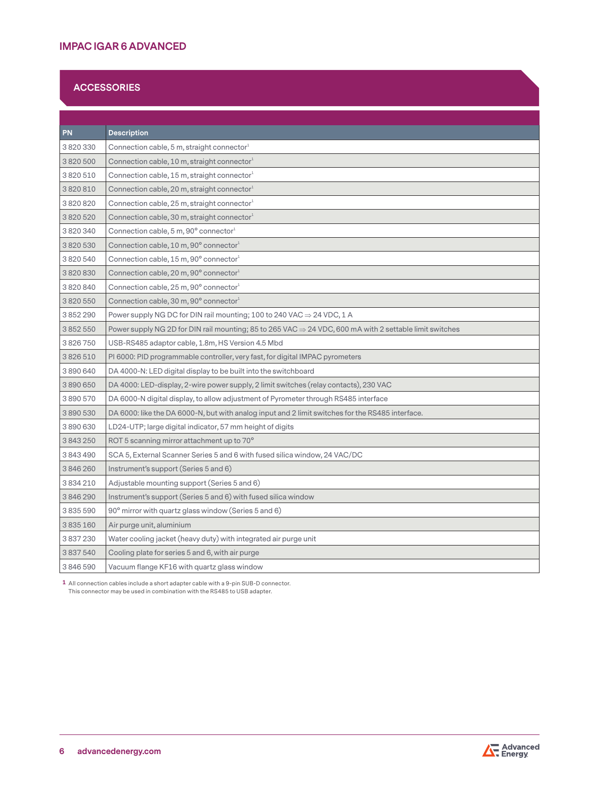## **ACCESSORIES**

| PN            | <b>Description</b>                                                                                                  |
|---------------|---------------------------------------------------------------------------------------------------------------------|
| 3820330       | Connection cable, 5 m, straight connector <sup>1</sup>                                                              |
| 3820500       | Connection cable, 10 m, straight connector $1$                                                                      |
| 3 820 510     | Connection cable, 15 m, straight connector <sup>1</sup>                                                             |
| 3820810       | Connection cable, 20 m, straight connector <sup>1</sup>                                                             |
| 3820820       | Connection cable, 25 m, straight connector <sup>1</sup>                                                             |
| 3820520       | Connection cable, 30 m, straight connector <sup>1</sup>                                                             |
| 3820340       | Connection cable, 5 m, 90° connector <sup>1</sup>                                                                   |
| 3820530       | Connection cable, 10 m, 90° connector <sup>1</sup>                                                                  |
| 3 820 540     | Connection cable, 15 m, 90° connector <sup>1</sup>                                                                  |
| 3820830       | Connection cable, 20 m, 90° connector1                                                                              |
| 3820840       | Connection cable, 25 m, 90° connector1                                                                              |
| 3820550       | Connection cable, 30 m, 90 $^{\circ}$ connector $^{\text{-}}$                                                       |
| 3852290       | Power supply NG DC for DIN rail mounting; 100 to 240 VAC $\Rightarrow$ 24 VDC, 1 A                                  |
| 3852550       | Power supply NG 2D for DIN rail mounting; 85 to 265 VAC $\Rightarrow$ 24 VDC, 600 mA with 2 settable limit switches |
| 3826750       | USB-RS485 adaptor cable, 1.8m, HS Version 4.5 Mbd                                                                   |
| 3 826 510     | PI 6000: PID programmable controller, very fast, for digital IMPAC pyrometers                                       |
| 3890640       | DA 4000-N: LED digital display to be built into the switchboard                                                     |
| 3890650       | DA 4000: LED-display, 2-wire power supply, 2 limit switches (relay contacts), 230 VAC                               |
| 3890570       | DA 6000-N digital display, to allow adjustment of Pyrometer through RS485 interface                                 |
| 3890530       | DA 6000: like the DA 6000-N, but with analog input and 2 limit switches for the RS485 interface.                    |
| 3890630       | LD24-UTP; large digital indicator, 57 mm height of digits                                                           |
| 3843250       | ROT 5 scanning mirror attachment up to 70°                                                                          |
| 3843490       | SCA 5, External Scanner Series 5 and 6 with fused silica window, 24 VAC/DC                                          |
| 3846260       | Instrument's support (Series 5 and 6)                                                                               |
| 3 8 3 4 2 1 0 | Adjustable mounting support (Series 5 and 6)                                                                        |
| 3846290       | Instrument's support (Series 5 and 6) with fused silica window                                                      |
| 3835590       | 90° mirror with quartz glass window (Series 5 and 6)                                                                |
| 3835160       | Air purge unit, aluminium                                                                                           |
| 3837230       | Water cooling jacket (heavy duty) with integrated air purge unit                                                    |
| 3837540       | Cooling plate for series 5 and 6, with air purge                                                                    |
| 3846590       | Vacuum flange KF16 with quartz glass window                                                                         |

**1** All connection cables include a short adapter cable with a 9-pin SUB-D connector. This connector may be used in combination with the RS485 to USB adapter.

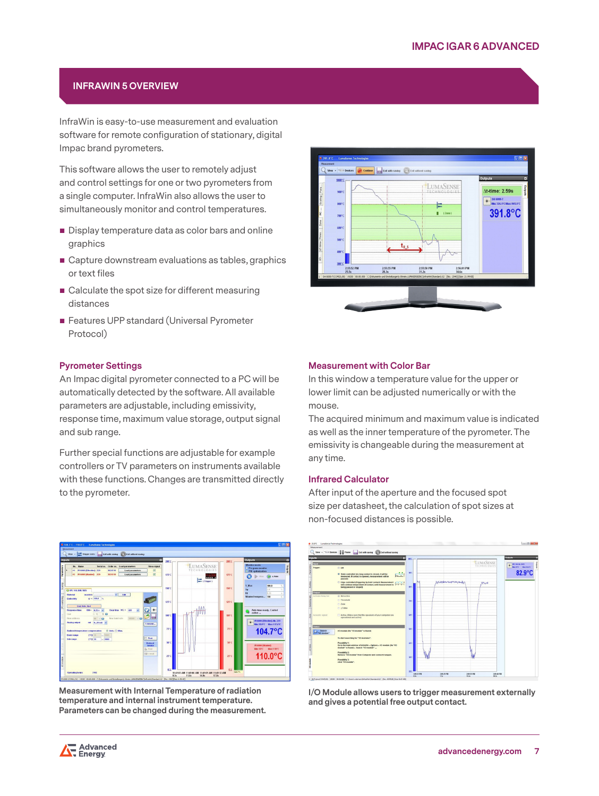## **INFRAWIN 5 OVERVIEW**

InfraWin is easy-to-use measurement and evaluation software for remote configuration of stationary, digital Impac brand pyrometers.

This software allows the user to remotely adjust and control settings for one or two pyrometers from a single computer. InfraWin also allows the user to simultaneously monitor and control temperatures.

- Display temperature data as color bars and online graphics
- Capture downstream evaluations as tables, graphics or text files
- Calculate the spot size for different measuring distances
- **Features UPP standard (Universal Pyrometer** Protocol)

#### **Pyrometer Settings**

An Impac digital pyrometer connected to a PC will be automatically detected by the software. All available parameters are adjustable, including emissivity, response time, maximum value storage, output signal and sub range.

Further special functions are adjustable for example controllers or TV parameters on instruments available with these functions. Changes are transmitted directly to the pyrometer.



**Measurement with Internal Temperature of radiation temperature and internal instrument temperature. Parameters can be changed during the measurement.**



#### **Measurement with Color Bar**

In this window a temperature value for the upper or lower limit can be adjusted numerically or with the mouse.

The acquired minimum and maximum value is indicated as well as the inner temperature of the pyrometer. The emissivity is changeable during the measurement at any time.

#### **Infrared Calculator**

After input of the aperture and the focused spot size per datasheet, the calculation of spot sizes at non-focused distances is possible.



**I/O Module allows users to trigger measurement externally and gives a potential free output contact.**